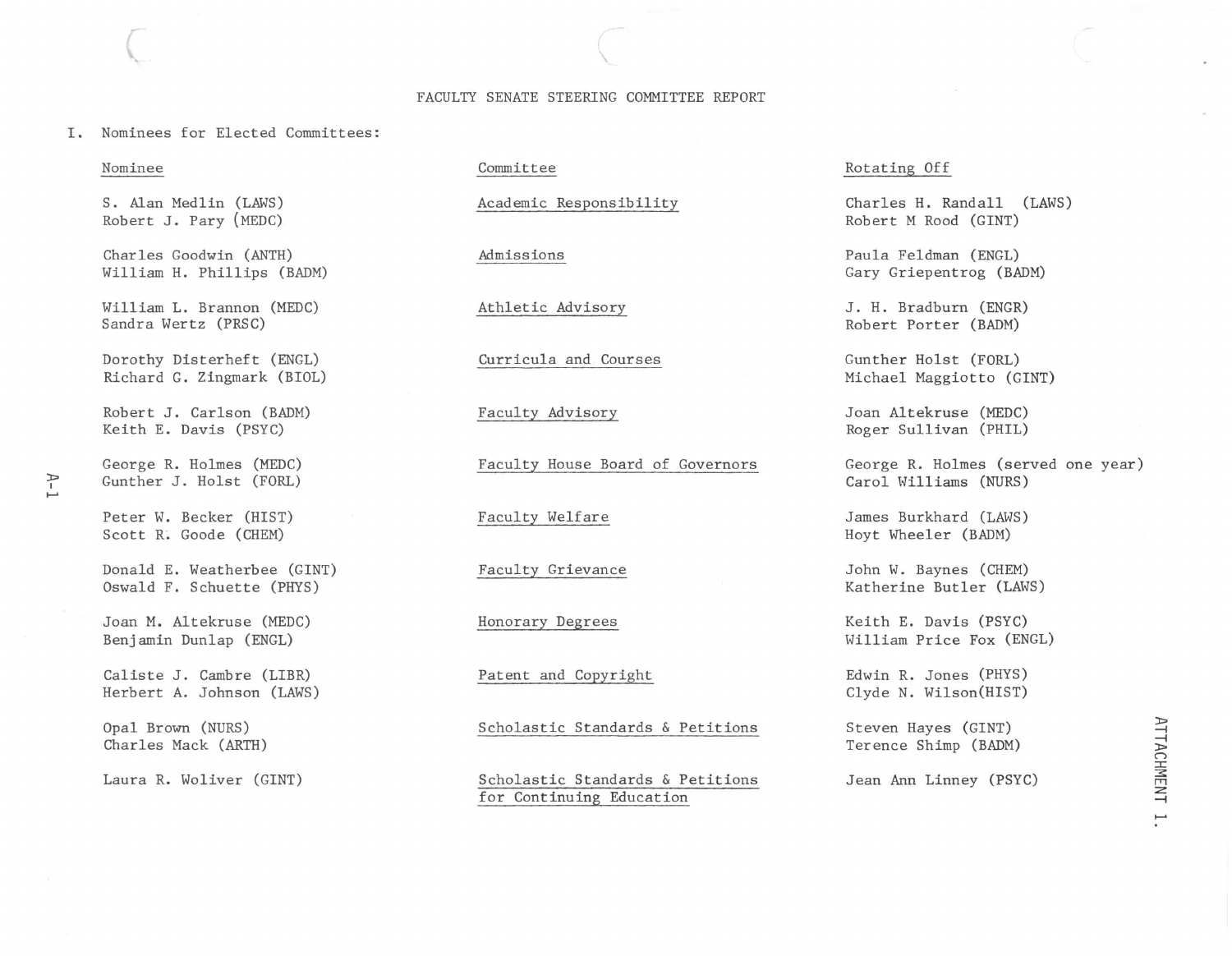## FACULTY SENATE STEERING COMMITTEE REPORT

 $\overline{\phantom{a}}$ 

I. Nominees for Elected Committees:

### Nominee

 $\big($ 

S. Alan Medlin (LAWS) Robert J. Pary (MEDC)

Charles Goodwin (ANTH) William H. Phillips (BADM)

William L. Brannon (MEDC) Sandra Wertz (PRSC)

Dorothy Disterheft (ENGL) Richard G. Zingmark (BIOL)

Robert J. Carlson (BADM) Keith E. Davis (PSYC)

George R. Holmes (MEDC) Gunther J. Holst (FORL)

Peter W. Becker (HIST) Scott R. Goode (CHEM)

Donald E. Weatherbee (GINT) Oswald F. Schuette (PHYS)

Joan M. Altekruse (MEDC) Benjamin Dunlap (ENGL)

Caliste J. Cambre (LIBR) Herbert A. Johnson (LAWS)

Opal Brown (NURS) Charles Mack (ARTH)

Laura R. Woliver (GINT)

Committee

Academic Responsibility

Admissions

Athletic Advisory

Curricula and Courses

Faculty Advisory

Faculty House Board of Governors

Faculty Welfare

Faculty Grievance

Honorary Degrees

Patent and Copyright

Scholastic Standards & Petitions

Scholastic Standards & Petitions for Continuing Education

Rotating Off

Charles H. Randall (LAWS) Robert M Rood (GINT)

Paula Feldman (ENGL) Gary Griepentrog (BADM)

J. H. Bradburn (ENGR) Robert Porter (BADM)

Gunther Holst (FORL) Michael Maggiotto (GINT)

Joan Altekruse (MEDC) Roger Sullivan (PHIL)

George R. Holmes (served one year) Carol Williams (NURS)

James Burkhard (LAWS) Hoyt Wheeler (BADM)

John W. Baynes (CHEM) Katherine Butler (LAWS)

Keith E. Davis (PSYC) William Price Fox (ENGL)

Edwin R. Jones (PHYS) Clyde N. Wilson(HIST)

Steven Hayes (GINT) Terence Shimp (BADM)

Jean Ann Linney (PSYC)